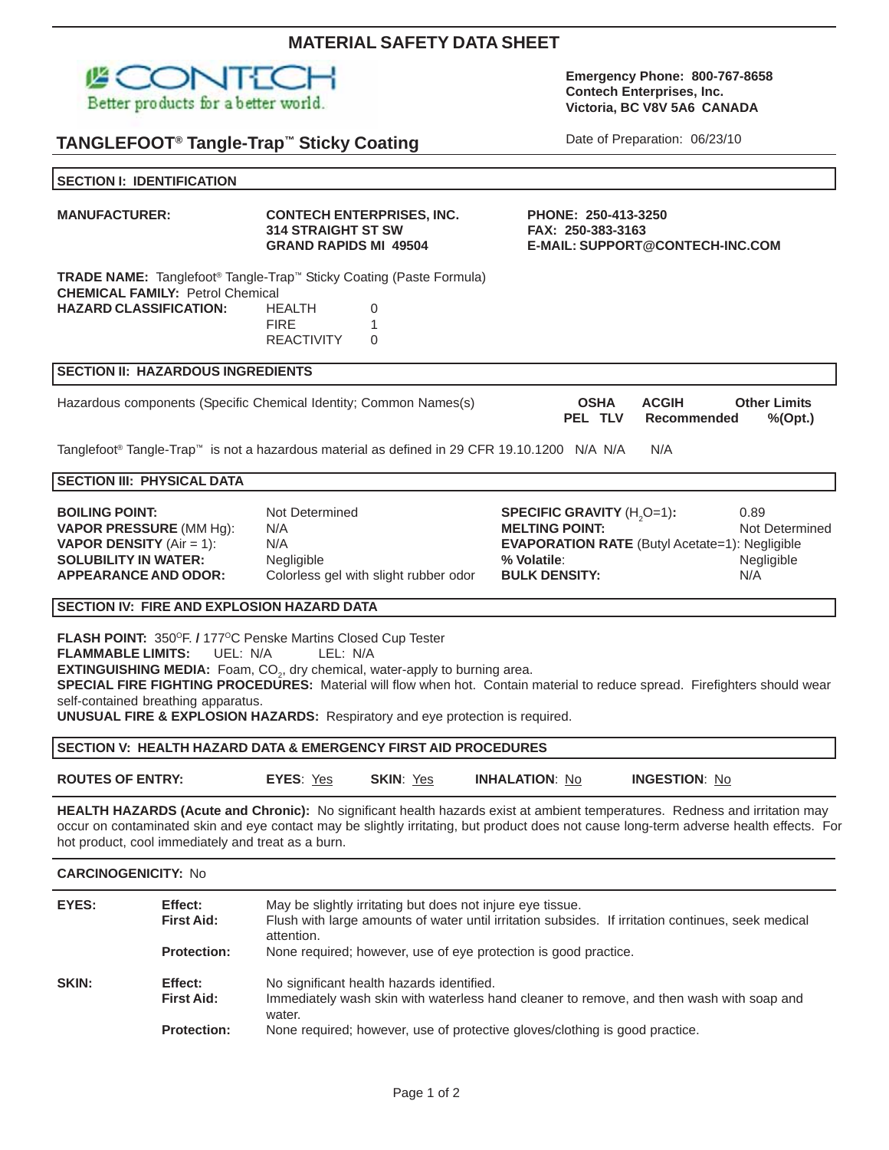| <b>SECTION I: IDENTIFICATION</b>                                                                                                                         |                                                    |                                                                                                                                                                                                                                                                        |                                                                                                                                                                                                                                                                        |  |
|----------------------------------------------------------------------------------------------------------------------------------------------------------|----------------------------------------------------|------------------------------------------------------------------------------------------------------------------------------------------------------------------------------------------------------------------------------------------------------------------------|------------------------------------------------------------------------------------------------------------------------------------------------------------------------------------------------------------------------------------------------------------------------|--|
| <b>MANUFACTURER:</b>                                                                                                                                     |                                                    | <b>CONTECH ENTERPRISES, INC.</b><br><b>314 STRAIGHT ST SW</b><br><b>GRAND RAPIDS MI 49504</b>                                                                                                                                                                          | PHONE: 250-413-3250<br>FAX: 250-383-3163<br>E-MAIL: SUPPORT@CONTECH-INC.COM                                                                                                                                                                                            |  |
| <b>HAZARD CLASSIFICATION:</b>                                                                                                                            | <b>CHEMICAL FAMILY: Petrol Chemical</b>            | TRADE NAME: Tanglefoot <sup>®</sup> Tangle-Trap™ Sticky Coating (Paste Formula)<br><b>HEALTH</b><br>0<br><b>FIRE</b><br>1<br><b>REACTIVITY</b><br>0                                                                                                                    |                                                                                                                                                                                                                                                                        |  |
|                                                                                                                                                          | <b>SECTION II: HAZARDOUS INGREDIENTS</b>           |                                                                                                                                                                                                                                                                        |                                                                                                                                                                                                                                                                        |  |
|                                                                                                                                                          |                                                    | Hazardous components (Specific Chemical Identity; Common Names(s)                                                                                                                                                                                                      | <b>Other Limits</b><br><b>OSHA</b><br><b>ACGIH</b><br>PEL TLV<br>Recommended<br>$%$ (Opt.)                                                                                                                                                                             |  |
|                                                                                                                                                          |                                                    | Tanglefoot® Tangle-Trap™ is not a hazardous material as defined in 29 CFR 19.10.1200 N/A N/A                                                                                                                                                                           | N/A                                                                                                                                                                                                                                                                    |  |
|                                                                                                                                                          | <b>SECTION III: PHYSICAL DATA</b>                  |                                                                                                                                                                                                                                                                        |                                                                                                                                                                                                                                                                        |  |
| <b>BOILING POINT:</b><br><b>VAPOR PRESSURE (MM Hg):</b><br><b>VAPOR DENSITY</b> (Air = 1):<br><b>SOLUBILITY IN WATER:</b><br><b>APPEARANCE AND ODOR:</b> |                                                    | Not Determined<br>N/A<br>N/A<br>Negligible<br>Colorless gel with slight rubber odor                                                                                                                                                                                    | 0.89<br><b>SPECIFIC GRAVITY (H<sub>2</sub>O=1):</b><br><b>MELTING POINT:</b><br>Not Determined<br><b>EVAPORATION RATE</b> (Butyl Acetate=1): Negligible<br>% Volatile:<br>Negligible<br><b>BULK DENSITY:</b><br>N/A                                                    |  |
|                                                                                                                                                          |                                                    | SECTION IV: FIRE AND EXPLOSION HAZARD DATA                                                                                                                                                                                                                             |                                                                                                                                                                                                                                                                        |  |
| <b>FLAMMABLE LIMITS:</b>                                                                                                                                 | UEL: N/A<br>self-contained breathing apparatus.    | FLASH POINT: 350°F. / 177°C Penske Martins Closed Cup Tester<br>LEL: N/A<br><b>EXTINGUISHING MEDIA:</b> Foam, CO <sub>2</sub> , dry chemical, water-apply to burning area.<br><b>UNUSUAL FIRE &amp; EXPLOSION HAZARDS:</b> Respiratory and eye protection is required. | SPECIAL FIRE FIGHTING PROCEDURES: Material will flow when hot. Contain material to reduce spread. Firefighters should wear                                                                                                                                             |  |
|                                                                                                                                                          |                                                    | SECTION V: HEALTH HAZARD DATA & EMERGENCY FIRST AID PROCEDURES                                                                                                                                                                                                         |                                                                                                                                                                                                                                                                        |  |
| <b>ROUTES OF ENTRY:</b>                                                                                                                                  |                                                    | <b>SKIN: Yes</b><br><b>EYES: Yes</b>                                                                                                                                                                                                                                   | <b>INHALATION: No</b><br><b>INGESTION: No</b>                                                                                                                                                                                                                          |  |
|                                                                                                                                                          | hot product, cool immediately and treat as a burn. |                                                                                                                                                                                                                                                                        | HEALTH HAZARDS (Acute and Chronic): No significant health hazards exist at ambient temperatures. Redness and irritation may<br>occur on contaminated skin and eye contact may be slightly irritating, but product does not cause long-term adverse health effects. For |  |
| <b>CARCINOGENICITY: No</b>                                                                                                                               |                                                    |                                                                                                                                                                                                                                                                        |                                                                                                                                                                                                                                                                        |  |
| EYES:                                                                                                                                                    | Effect:<br><b>First Aid:</b><br><b>Protection:</b> | May be slightly irritating but does not injure eye tissue.<br>attention.<br>None required; however, use of eye protection is good practice.                                                                                                                            | Flush with large amounts of water until irritation subsides. If irritation continues, seek medical                                                                                                                                                                     |  |
| <b>SKIN:</b>                                                                                                                                             | Effect:<br><b>First Aid:</b><br><b>Protection:</b> | No significant health hazards identified.<br>water.<br>None required; however, use of protective gloves/clothing is good practice.                                                                                                                                     | Immediately wash skin with waterless hand cleaner to remove, and then wash with soap and                                                                                                                                                                               |  |

# **MATERIAL SAFETY DATA SHEET**

Page 1 of 2

Date of Preparation: 06/23/10

**Contech Enterprises, Inc. Victoria, BC V8V 5A6 CANADA**

**Emergency Phone: 800-767-8658**

## 四〇 ł Better products for a better world.

**TANGLEFOOT® Tangle-Trap™ Sticky Coating**